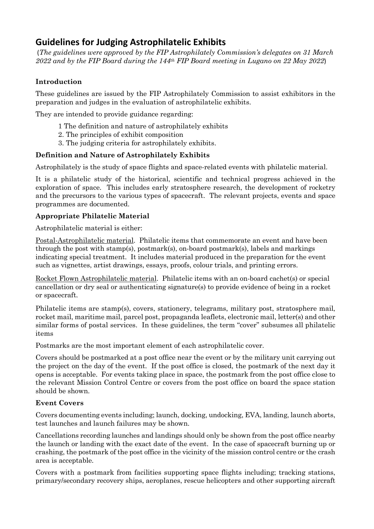# **Guidelines for Judging Astrophilatelic Exhibits**

(*The guidelines were approved by the FIP Astrophilately Commission's delegates on 31 March 2022 and by the FIP Board during the 144th FIP Board meeting in Lugano on 22 May 2022*)

# **Introduction**

These guidelines are issued by the FIP Astrophilately Commission to assist exhibitors in the preparation and judges in the evaluation of astrophilatelic exhibits.

They are intended to provide guidance regarding:

- 1 The definition and nature of astrophilately exhibits
- 2. The principles of exhibit composition
- 3. The judging criteria for astrophilately exhibits.

# **Definition and Nature of Astrophilately Exhibits**

Astrophilately is the study of space flights and space-related events with philatelic material.

It is a philatelic study of the historical, scientific and technical progress achieved in the exploration of space. This includes early stratosphere research, the development of rocketry and the precursors to the various types of spacecraft. The relevant projects, events and space programmes are documented.

### **Appropriate Philatelic Material**

Astrophilatelic material is either:

Postal-Astrophilatelic material. Philatelic items that commemorate an event and have been through the post with stamp(s), postmark(s), on-board postmark(s), labels and markings indicating special treatment. It includes material produced in the preparation for the event such as vignettes, artist drawings, essays, proofs, colour trials, and printing errors.

Rocket Flown Astrophilatelic material. Philatelic items with an on-board cachet(s) or special cancellation or dry seal or authenticating signature(s) to provide evidence of being in a rocket or spacecraft.

Philatelic items are stamp(s), covers, stationery, telegrams, military post, stratosphere mail, rocket mail, maritime mail, parcel post, propaganda leaflets, electronic mail, letter(s) and other similar forms of postal services. In these guidelines, the term "cover" subsumes all philatelic items

Postmarks are the most important element of each astrophilatelic cover.

Covers should be postmarked at a post office near the event or by the military unit carrying out the project on the day of the event. If the post office is closed, the postmark of the next day it opens is acceptable. For events taking place in space, the postmark from the post office close to the relevant Mission Control Centre or covers from the post office on board the space station should be shown.

# **Event Covers**

Covers documenting events including; launch, docking, undocking, EVA, landing, launch aborts, test launches and launch failures may be shown.

Cancellations recording launches and landings should only be shown from the post office nearby the launch or landing with the exact date of the event. In the case of spacecraft burning up or crashing, the postmark of the post office in the vicinity of the mission control centre or the crash area is acceptable.

Covers with a postmark from facilities supporting space flights including; tracking stations, primary/secondary recovery ships, aeroplanes, rescue helicopters and other supporting aircraft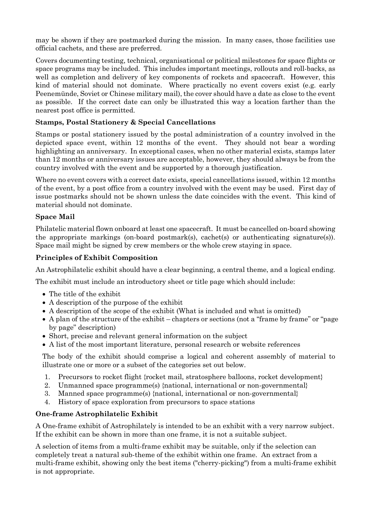may be shown if they are postmarked during the mission. In many cases, those facilities use official cachets, and these are preferred.

Covers documenting testing, technical, organisational or political milestones for space flights or space programs may be included. This includes important meetings, rollouts and roll-backs, as well as completion and delivery of key components of rockets and spacecraft. However, this kind of material should not dominate. Where practically no event covers exist (e.g. early Peenemünde, Soviet or Chinese military mail), the cover should have a date as close to the event as possible. If the correct date can only be illustrated this way a location farther than the nearest post office is permitted.

### **Stamps, Postal Stationery & Special Cancellations**

Stamps or postal stationery issued by the postal administration of a country involved in the depicted space event, within 12 months of the event. They should not bear a wording highlighting an anniversary. In exceptional cases, when no other material exists, stamps later than 12 months or anniversary issues are acceptable, however, they should always be from the country involved with the event and be supported by a thorough justification.

Where no event covers with a correct date exists, special cancellations issued, within 12 months of the event, by a post office from a country involved with the event may be used. First day of issue postmarks should not be shown unless the date coincides with the event. This kind of material should not dominate.

# **Space Mail**

Philatelic material flown onboard at least one spacecraft. It must be cancelled on-board showing the appropriate markings (on-board postmark(s), cachet(s) or authenticating signature(s)). Space mail might be signed by crew members or the whole crew staying in space.

### **Principles of Exhibit Composition**

An Astrophilatelic exhibit should have a clear beginning, a central theme, and a logical ending.

The exhibit must include an introductory sheet or title page which should include:

- The title of the exhibit
- A description of the purpose of the exhibit
- A description of the scope of the exhibit (What is included and what is omitted)
- A plan of the structure of the exhibit chapters or sections (not a "frame by frame" or "page by page" description)
- Short, precise and relevant general information on the subject
- A list of the most important literature, personal research or website references

The body of the exhibit should comprise a logical and coherent assembly of material to illustrate one or more or a subset of the categories set out below.

- 1. Precursors to rocket flight {rocket mail, stratosphere balloons, rocket development}
- 2. Unmanned space programme(s) {national, international or non-governmental}
- 3. Manned space programme(s) {national, international or non-governmental}
- 4. History of space exploration from precursors to space stations

### **One-frame Astrophilatelic Exhibit**

A One-frame exhibit of Astrophilately is intended to be an exhibit with a very narrow subject. If the exhibit can be shown in more than one frame, it is not a suitable subject.

A selection of items from a multi-frame exhibit may be suitable, only if the selection can completely treat a natural sub-theme of the exhibit within one frame. An extract from a multi-frame exhibit, showing only the best items ("cherry-picking") from a multi-frame exhibit is not appropriate.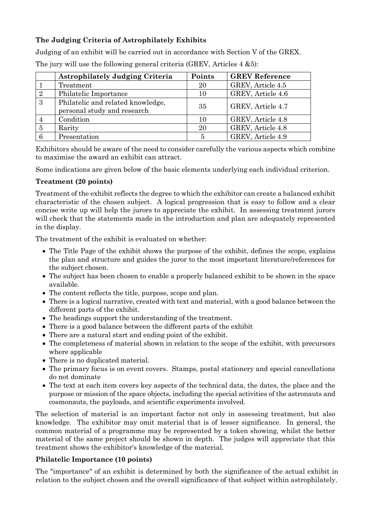# **The Judging Criteria of Astrophilately Exhibits**

Judging of an exhibit will be carried out in accordance with Section V of the GREX.

|                | <b>Astrophilately Judging Criteria</b>                           | Points | <b>GREV Reference</b> |
|----------------|------------------------------------------------------------------|--------|-----------------------|
|                | Treatment                                                        | 20     | GREV, Article 4.5     |
| $\overline{2}$ | Philatelic Importance                                            | 10     | GREV, Article 4.6     |
| 3              | Philatelic and related knowledge,<br>personal study and research | 35     | GREV, Article 4.7     |
| 4              | Condition                                                        | 10     | GREV, Article 4.8     |
| 5              | Rarity                                                           | 20     | GREV, Article 4.8     |
| 6              | Presentation                                                     |        | GREV, Article 4.9     |

The jury will use the following general criteria (GREV, Articles 4 &5):

Exhibitors should be aware of the need to consider carefully the various aspects which combine to maximise the award an exhibit can attract.

Some indications are given below of the basic elements underlying each individual criterion.

### **Treatment (20 points)**

Treatment of the exhibit reflects the degree to which the exhibitor can create a balanced exhibit characteristic of the chosen subject. A logical progression that is easy to follow and a clear concise write up will help the jurors to appreciate the exhibit. In assessing treatment jurors will check that the statements made in the introduction and plan are adequately represented in the display.

The treatment of the exhibit is evaluated on whether:

- The Title Page of the exhibit shows the purpose of the exhibit, defines the scope, explains the plan and structure and guides the juror to the most important literature/references for the subject chosen.
- The subject has been chosen to enable a properly balanced exhibit to be shown in the space available.
- The content reflects the title, purpose, scope and plan.
- There is a logical narrative, created with text and material, with a good balance between the different parts of the exhibit.
- The headings support the understanding of the treatment.
- There is a good balance between the different parts of the exhibit
- There are a natural start and ending point of the exhibit.
- The completeness of material shown in relation to the scope of the exhibit, with precursors where applicable
- There is no duplicated material.
- The primary focus is on event covers. Stamps, postal stationery and special cancellations do not dominate
- The text at each item covers key aspects of the technical data, the dates, the place and the purpose or mission of the space objects, including the special activities of the astronauts and cosmonauts, the payloads, and scientific experiments involved.

The selection of material is an important factor not only in assessing treatment, but also knowledge. The exhibitor may omit material that is of lesser significance. In general, the common material of a programme may be represented by a token showing, whilst the better material of the same project should be shown in depth. The judges will appreciate that this treatment shows the exhibitor's knowledge of the material.

### **Philatelic Importance (10 points)**

The "importance" of an exhibit is determined by both the significance of the actual exhibit in relation to the subject chosen and the overall significance of that subject within astrophilately.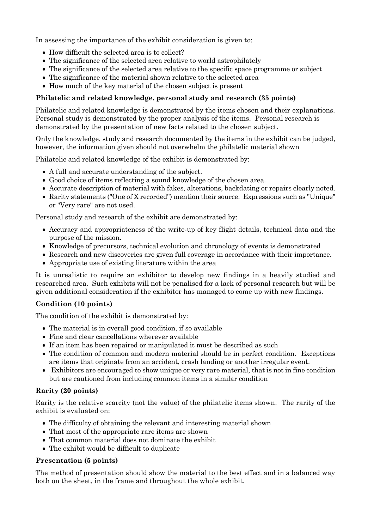In assessing the importance of the exhibit consideration is given to:

- How difficult the selected area is to collect?
- The significance of the selected area relative to world astrophilately
- The significance of the selected area relative to the specific space programme or subject
- The significance of the material shown relative to the selected area
- How much of the key material of the chosen subject is present

### **Philatelic and related knowledge, personal study and research (35 points)**

Philatelic and related knowledge is demonstrated by the items chosen and their explanations. Personal study is demonstrated by the proper analysis of the items. Personal research is demonstrated by the presentation of new facts related to the chosen subject.

Only the knowledge, study and research documented by the items in the exhibit can be judged, however, the information given should not overwhelm the philatelic material shown

Philatelic and related knowledge of the exhibit is demonstrated by:

- A full and accurate understanding of the subject.
- Good choice of items reflecting a sound knowledge of the chosen area.
- Accurate description of material with fakes, alterations, backdating or repairs clearly noted.
- Rarity statements ("One of X recorded") mention their source. Expressions such as "Unique" or "Very rare" are not used.

Personal study and research of the exhibit are demonstrated by:

- Accuracy and appropriateness of the write-up of key flight details, technical data and the purpose of the mission.
- Knowledge of precursors, technical evolution and chronology of events is demonstrated
- Research and new discoveries are given full coverage in accordance with their importance.
- Appropriate use of existing literature within the area

It is unrealistic to require an exhibitor to develop new findings in a heavily studied and researched area. Such exhibits will not be penalised for a lack of personal research but will be given additional consideration if the exhibitor has managed to come up with new findings.

### **Condition (10 points)**

The condition of the exhibit is demonstrated by:

- The material is in overall good condition, if so available
- Fine and clear cancellations wherever available
- If an item has been repaired or manipulated it must be described as such
- The condition of common and modern material should be in perfect condition. Exceptions are items that originate from an accident, crash landing or another irregular event.
- Exhibitors are encouraged to show unique or very rare material, that is not in fine condition but are cautioned from including common items in a similar condition

### **Rarity (20 points)**

Rarity is the relative scarcity (not the value) of the philatelic items shown. The rarity of the exhibit is evaluated on:

- The difficulty of obtaining the relevant and interesting material shown
- That most of the appropriate rare items are shown
- That common material does not dominate the exhibit
- The exhibit would be difficult to duplicate

### **Presentation (5 points)**

The method of presentation should show the material to the best effect and in a balanced way both on the sheet, in the frame and throughout the whole exhibit.